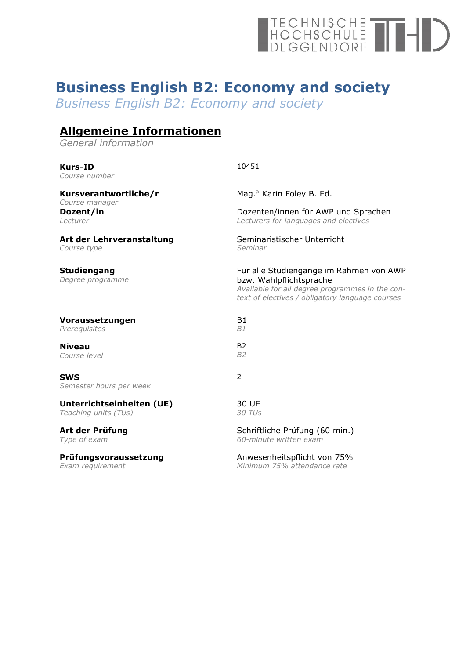# TECHNISCHE<br>HOCHSCHULE<br>DEGGENDORF

## **Business English B2: Economy and society**

*Business English B2: Economy and society*

### **Allgemeine Informationen**

*General information*

| <b>Kurs-ID</b><br>Course number         | 10451                                                                                                                                                                    |
|-----------------------------------------|--------------------------------------------------------------------------------------------------------------------------------------------------------------------------|
| Kursverantwortliche/r<br>Course manager | Mag. <sup>a</sup> Karin Foley B. Ed.                                                                                                                                     |
| Dozent/in                               | Dozenten/innen für AWP und Sprachen                                                                                                                                      |
| <i>I</i> ecturer                        | Lecturers for languages and electives                                                                                                                                    |
| Art der Lehrveranstaltung               | Seminaristischer Unterricht                                                                                                                                              |
| Course type                             | Seminar                                                                                                                                                                  |
| <b>Studiengang</b><br>Degree programme  | Für alle Studiengänge im Rahmen von AWP<br>bzw. Wahlpflichtsprache<br>Available for all degree programmes in the con-<br>text of electives / obligatory language courses |
| Voraussetzungen                         | <b>B1</b>                                                                                                                                                                |
| Prerequisites                           | B1                                                                                                                                                                       |
| <b>Niveau</b>                           | <b>B2</b>                                                                                                                                                                |
| Course level                            | <b>B2</b>                                                                                                                                                                |
| <b>SWS</b><br>Semester hours per week   | $\overline{2}$                                                                                                                                                           |
| Unterrichtseinheiten (UE)               | 30 UE                                                                                                                                                                    |
| Teaching units (TUs)                    | 30 TUs                                                                                                                                                                   |
| Art der Prüfung                         | Schriftliche Prüfung (60 min.)                                                                                                                                           |
| Type of exam                            | 60-minute written exam                                                                                                                                                   |
| Prüfungsvoraussetzung                   | Anwesenheitspflicht von 75%                                                                                                                                              |
| Exam requirement                        | Minimum 75% attendance rate                                                                                                                                              |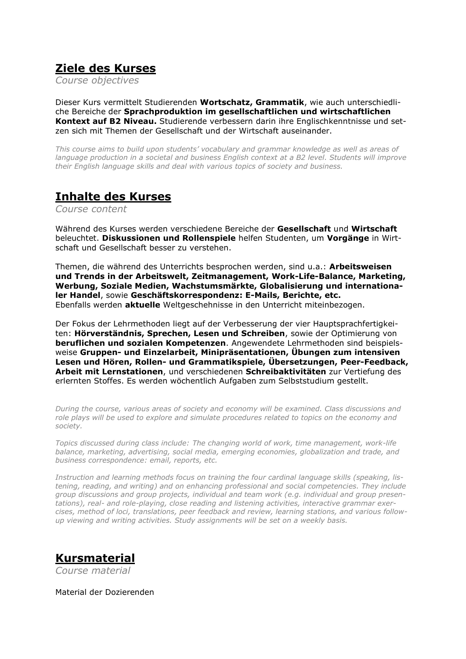#### **Ziele des Kurses**

*Course objectives*

Dieser Kurs vermittelt Studierenden **Wortschatz, Grammatik**, wie auch unterschiedliche Bereiche der **Sprachproduktion im gesellschaftlichen und wirtschaftlichen Kontext auf B2 Niveau.** Studierende verbessern darin ihre Englischkenntnisse und setzen sich mit Themen der Gesellschaft und der Wirtschaft auseinander.

*This course aims to build upon students' vocabulary and grammar knowledge as well as areas of language production in a societal and business English context at a B2 level. Students will improve their English language skills and deal with various topics of society and business.*

#### **Inhalte des Kurses**

*Course content*

Während des Kurses werden verschiedene Bereiche der **Gesellschaft** und **Wirtschaft** beleuchtet. **Diskussionen und Rollenspiele** helfen Studenten, um **Vorgänge** in Wirtschaft und Gesellschaft besser zu verstehen.

Themen, die während des Unterrichts besprochen werden, sind u.a.: **Arbeitsweisen und Trends in der Arbeitswelt, Zeitmanagement, Work-Life-Balance, Marketing, Werbung, Soziale Medien, Wachstumsmärkte, Globalisierung und internationaler Handel**, sowie **Geschäftskorrespondenz: E-Mails, Berichte, etc.** Ebenfalls werden **aktuelle** Weltgeschehnisse in den Unterricht miteinbezogen.

Der Fokus der Lehrmethoden liegt auf der Verbesserung der vier Hauptsprachfertigkeiten: **Hörverständnis, Sprechen, Lesen und Schreiben**, sowie der Optimierung von **beruflichen und sozialen Kompetenzen**. Angewendete Lehrmethoden sind beispielsweise **Gruppen- und Einzelarbeit, Minipräsentationen, Übungen zum intensiven Lesen und Hören, Rollen- und Grammatikspiele, Übersetzungen, Peer-Feedback, Arbeit mit Lernstationen**, und verschiedenen **Schreibaktivitäten** zur Vertiefung des erlernten Stoffes. Es werden wöchentlich Aufgaben zum Selbststudium gestellt.

*During the course, various areas of society and economy will be examined. Class discussions and role plays will be used to explore and simulate procedures related to topics on the economy and society.* 

*Topics discussed during class include: The changing world of work, time management, work-life balance, marketing, advertising, social media, emerging economies, globalization and trade, and business correspondence: email, reports, etc.*

*Instruction and learning methods focus on training the four cardinal language skills (speaking, listening, reading, and writing) and on enhancing professional and social competencies. They include group discussions and group projects, individual and team work (e.g. individual and group presentations), real- and role-playing, close reading and listening activities, interactive grammar exercises, method of loci, translations, peer feedback and review, learning stations, and various followup viewing and writing activities. Study assignments will be set on a weekly basis.* 

#### **Kursmaterial**

*Course material*

Material der Dozierenden